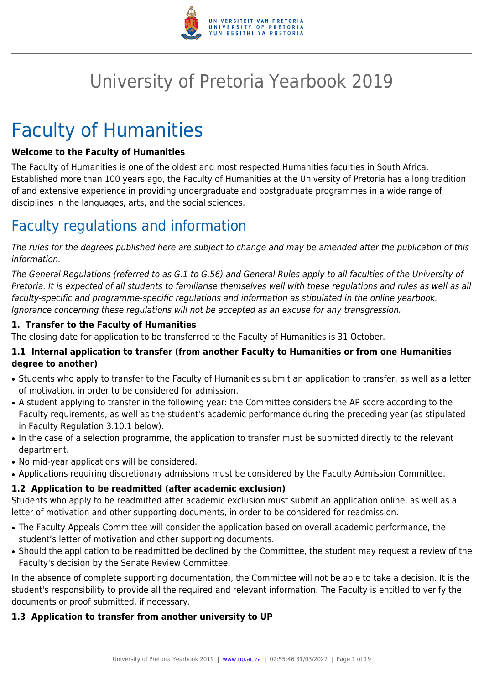

# University of Pretoria Yearbook 2019

# Faculty of Humanities

#### **Welcome to the Faculty of Humanities**

The Faculty of Humanities is one of the oldest and most respected Humanities faculties in South Africa. Established more than 100 years ago, the Faculty of Humanities at the University of Pretoria has a long tradition of and extensive experience in providing undergraduate and postgraduate programmes in a wide range of disciplines in the languages, arts, and the social sciences.

# Faculty regulations and information

The rules for the degrees published here are subject to change and may be amended after the publication of this information.

The General Regulations (referred to as G.1 to G.56) and General Rules apply to all faculties of the University of Pretoria. It is expected of all students to familiarise themselves well with these regulations and rules as well as all faculty-specific and programme-specific regulations and information as stipulated in the online yearbook. Ignorance concerning these regulations will not be accepted as an excuse for any transgression.

#### **1. Transfer to the Faculty of Humanities**

The closing date for application to be transferred to the Faculty of Humanities is 31 October.

# **1.1 Internal application to transfer (from another Faculty to Humanities or from one Humanities degree to another)**

- Students who apply to transfer to the Faculty of Humanities submit an application to transfer, as well as a letter of motivation, in order to be considered for admission.
- A student applying to transfer in the following year: the Committee considers the AP score according to the Faculty requirements, as well as the student's academic performance during the preceding year (as stipulated in Faculty Regulation 3.10.1 below).
- In the case of a selection programme, the application to transfer must be submitted directly to the relevant department.
- No mid-year applications will be considered.
- Applications requiring discretionary admissions must be considered by the Faculty Admission Committee.

# **1.2 Application to be readmitted (after academic exclusion)**

Students who apply to be readmitted after academic exclusion must submit an application online, as well as a letter of motivation and other supporting documents, in order to be considered for readmission.

- The Faculty Appeals Committee will consider the application based on overall academic performance, the student's letter of motivation and other supporting documents.
- Should the application to be readmitted be declined by the Committee, the student may request a review of the Faculty's decision by the Senate Review Committee.

In the absence of complete supporting documentation, the Committee will not be able to take a decision. It is the student's responsibility to provide all the required and relevant information. The Faculty is entitled to verify the documents or proof submitted, if necessary.

#### **1.3 Application to transfer from another university to UP**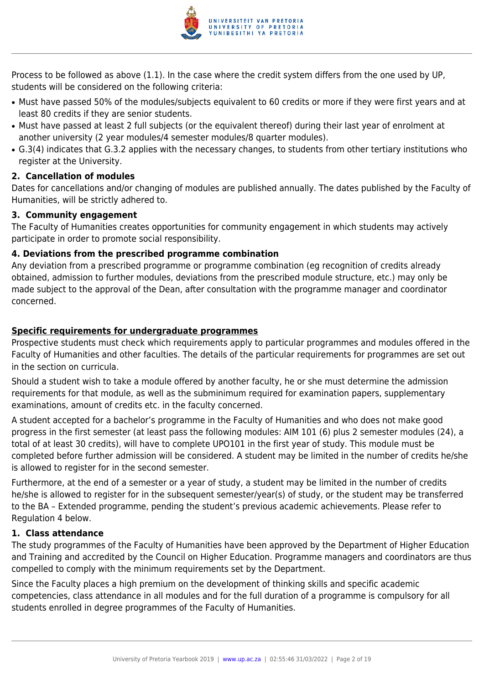

Process to be followed as above (1.1). In the case where the credit system differs from the one used by UP, students will be considered on the following criteria:

- Must have passed 50% of the modules/subjects equivalent to 60 credits or more if they were first years and at least 80 credits if they are senior students.
- Must have passed at least 2 full subjects (or the equivalent thereof) during their last year of enrolment at another university (2 year modules/4 semester modules/8 quarter modules).
- G.3(4) indicates that G.3.2 applies with the necessary changes, to students from other tertiary institutions who register at the University.

# **2. Cancellation of modules**

Dates for cancellations and/or changing of modules are published annually. The dates published by the Faculty of Humanities, will be strictly adhered to.

#### **3. Community engagement**

The Faculty of Humanities creates opportunities for community engagement in which students may actively participate in order to promote social responsibility.

# **4. Deviations from the prescribed programme combination**

Any deviation from a prescribed programme or programme combination (eg recognition of credits already obtained, admission to further modules, deviations from the prescribed module structure, etc.) may only be made subject to the approval of the Dean, after consultation with the programme manager and coordinator concerned.

# **Specific requirements for undergraduate programmes**

Prospective students must check which requirements apply to particular programmes and modules offered in the Faculty of Humanities and other faculties. The details of the particular requirements for programmes are set out in the section on curricula.

Should a student wish to take a module offered by another faculty, he or she must determine the admission requirements for that module, as well as the subminimum required for examination papers, supplementary examinations, amount of credits etc. in the faculty concerned.

A student accepted for a bachelor's programme in the Faculty of Humanities and who does not make good progress in the first semester (at least pass the following modules: AIM 101 (6) plus 2 semester modules (24), a total of at least 30 credits), will have to complete UPO101 in the first year of study. This module must be completed before further admission will be considered. A student may be limited in the number of credits he/she is allowed to register for in the second semester.

Furthermore, at the end of a semester or a year of study, a student may be limited in the number of credits he/she is allowed to register for in the subsequent semester/year(s) of study, or the student may be transferred to the BA – Extended programme, pending the student's previous academic achievements. Please refer to Regulation 4 below.

#### **1. Class attendance**

The study programmes of the Faculty of Humanities have been approved by the Department of Higher Education and Training and accredited by the Council on Higher Education. Programme managers and coordinators are thus compelled to comply with the minimum requirements set by the Department.

Since the Faculty places a high premium on the development of thinking skills and specific academic competencies, class attendance in all modules and for the full duration of a programme is compulsory for all students enrolled in degree programmes of the Faculty of Humanities.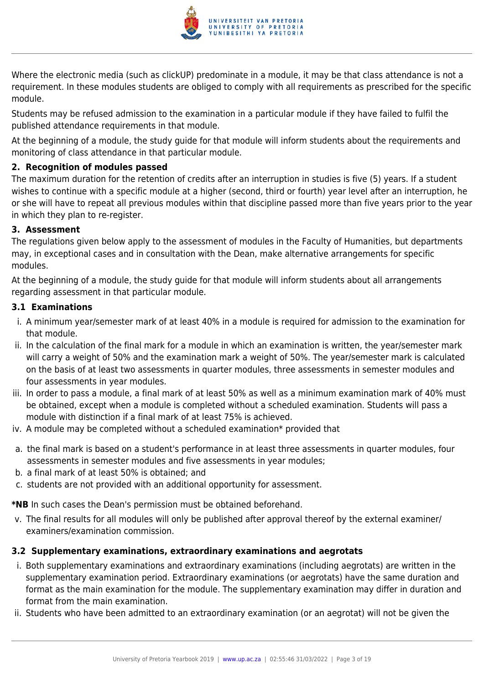

Where the electronic media (such as clickUP) predominate in a module, it may be that class attendance is not a requirement. In these modules students are obliged to comply with all requirements as prescribed for the specific module.

Students may be refused admission to the examination in a particular module if they have failed to fulfil the published attendance requirements in that module.

At the beginning of a module, the study guide for that module will inform students about the requirements and monitoring of class attendance in that particular module.

# **2. Recognition of modules passed**

The maximum duration for the retention of credits after an interruption in studies is five (5) years. If a student wishes to continue with a specific module at a higher (second, third or fourth) year level after an interruption, he or she will have to repeat all previous modules within that discipline passed more than five years prior to the year in which they plan to re-register.

# **3. Assessment**

The regulations given below apply to the assessment of modules in the Faculty of Humanities, but departments may, in exceptional cases and in consultation with the Dean, make alternative arrangements for specific modules.

At the beginning of a module, the study guide for that module will inform students about all arrangements regarding assessment in that particular module.

# **3.1 Examinations**

- i. A minimum year/semester mark of at least 40% in a module is required for admission to the examination for that module.
- ii. In the calculation of the final mark for a module in which an examination is written, the year/semester mark will carry a weight of 50% and the examination mark a weight of 50%. The year/semester mark is calculated on the basis of at least two assessments in quarter modules, three assessments in semester modules and four assessments in year modules.
- iii. In order to pass a module, a final mark of at least 50% as well as a minimum examination mark of 40% must be obtained, except when a module is completed without a scheduled examination. Students will pass a module with distinction if a final mark of at least 75% is achieved.
- iv. A module may be completed without a scheduled examination\* provided that
- a. the final mark is based on a student's performance in at least three assessments in quarter modules, four assessments in semester modules and five assessments in year modules;
- b. a final mark of at least 50% is obtained; and
- c. students are not provided with an additional opportunity for assessment.

**\*NB** In such cases the Dean's permission must be obtained beforehand.

v. The final results for all modules will only be published after approval thereof by the external examiner/ examiners/examination commission.

# **3.2 Supplementary examinations, extraordinary examinations and aegrotats**

- i. Both supplementary examinations and extraordinary examinations (including aegrotats) are written in the supplementary examination period. Extraordinary examinations (or aegrotats) have the same duration and format as the main examination for the module. The supplementary examination may differ in duration and format from the main examination.
- ii. Students who have been admitted to an extraordinary examination (or an aegrotat) will not be given the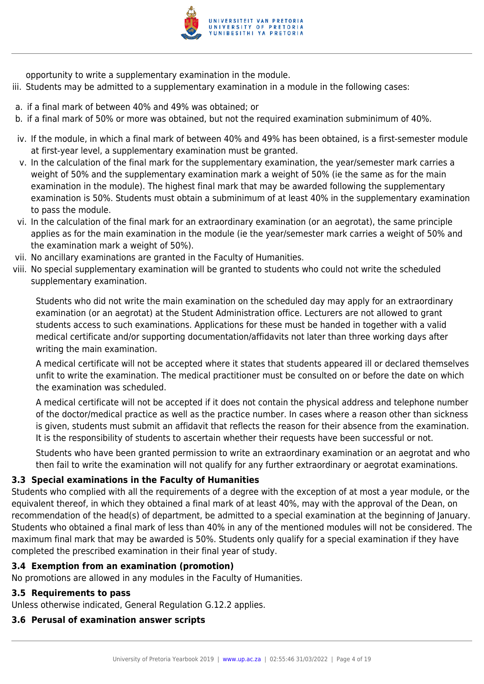

opportunity to write a supplementary examination in the module.

- iii. Students may be admitted to a supplementary examination in a module in the following cases:
- a. if a final mark of between 40% and 49% was obtained; or
- b. if a final mark of 50% or more was obtained, but not the required examination subminimum of 40%.
- iv. If the module, in which a final mark of between 40% and 49% has been obtained, is a first-semester module at first-year level, a supplementary examination must be granted.
- v. In the calculation of the final mark for the supplementary examination, the year/semester mark carries a weight of 50% and the supplementary examination mark a weight of 50% (ie the same as for the main examination in the module). The highest final mark that may be awarded following the supplementary examination is 50%. Students must obtain a subminimum of at least 40% in the supplementary examination to pass the module.
- vi. In the calculation of the final mark for an extraordinary examination (or an aegrotat), the same principle applies as for the main examination in the module (ie the year/semester mark carries a weight of 50% and the examination mark a weight of 50%).
- vii. No ancillary examinations are granted in the Faculty of Humanities.
- viii. No special supplementary examination will be granted to students who could not write the scheduled supplementary examination.

Students who did not write the main examination on the scheduled day may apply for an extraordinary examination (or an aegrotat) at the Student Administration office. Lecturers are not allowed to grant students access to such examinations. Applications for these must be handed in together with a valid medical certificate and/or supporting documentation/affidavits not later than three working days after writing the main examination.

A medical certificate will not be accepted where it states that students appeared ill or declared themselves unfit to write the examination. The medical practitioner must be consulted on or before the date on which the examination was scheduled.

A medical certificate will not be accepted if it does not contain the physical address and telephone number of the doctor/medical practice as well as the practice number. In cases where a reason other than sickness is given, students must submit an affidavit that reflects the reason for their absence from the examination. It is the responsibility of students to ascertain whether their requests have been successful or not.

Students who have been granted permission to write an extraordinary examination or an aegrotat and who then fail to write the examination will not qualify for any further extraordinary or aegrotat examinations.

# **3.3 Special examinations in the Faculty of Humanities**

Students who complied with all the requirements of a degree with the exception of at most a year module, or the equivalent thereof, in which they obtained a final mark of at least 40%, may with the approval of the Dean, on recommendation of the head(s) of department, be admitted to a special examination at the beginning of January. Students who obtained a final mark of less than 40% in any of the mentioned modules will not be considered. The maximum final mark that may be awarded is 50%. Students only qualify for a special examination if they have completed the prescribed examination in their final year of study.

# **3.4 Exemption from an examination (promotion)**

No promotions are allowed in any modules in the Faculty of Humanities.

# **3.5 Requirements to pass**

Unless otherwise indicated, General Regulation G.12.2 applies.

# **3.6 Perusal of examination answer scripts**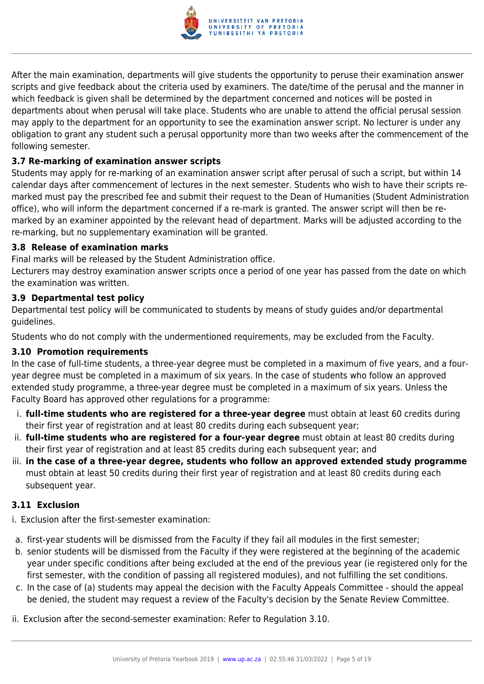

After the main examination, departments will give students the opportunity to peruse their examination answer scripts and give feedback about the criteria used by examiners. The date/time of the perusal and the manner in which feedback is given shall be determined by the department concerned and notices will be posted in departments about when perusal will take place. Students who are unable to attend the official perusal session may apply to the department for an opportunity to see the examination answer script. No lecturer is under any obligation to grant any student such a perusal opportunity more than two weeks after the commencement of the following semester.

# **3.7 Re-marking of examination answer scripts**

Students may apply for re-marking of an examination answer script after perusal of such a script, but within 14 calendar days after commencement of lectures in the next semester. Students who wish to have their scripts remarked must pay the prescribed fee and submit their request to the Dean of Humanities (Student Administration office), who will inform the department concerned if a re-mark is granted. The answer script will then be remarked by an examiner appointed by the relevant head of department. Marks will be adjusted according to the re-marking, but no supplementary examination will be granted.

#### **3.8 Release of examination marks**

Final marks will be released by the Student Administration office.

Lecturers may destroy examination answer scripts once a period of one year has passed from the date on which the examination was written.

# **3.9 Departmental test policy**

Departmental test policy will be communicated to students by means of study guides and/or departmental guidelines.

Students who do not comply with the undermentioned requirements, may be excluded from the Faculty.

# **3.10 Promotion requirements**

In the case of full-time students, a three-year degree must be completed in a maximum of five years, and a fouryear degree must be completed in a maximum of six years. In the case of students who follow an approved extended study programme, a three-year degree must be completed in a maximum of six years. Unless the Faculty Board has approved other regulations for a programme:

- i. **full-time students who are registered for a three-year degree** must obtain at least 60 credits during their first year of registration and at least 80 credits during each subsequent year;
- ii. **full-time students who are registered for a four-year degree** must obtain at least 80 credits during their first year of registration and at least 85 credits during each subsequent year; and
- iii. **in the case of a three-year degree, students who follow an approved extended study programme** must obtain at least 50 credits during their first year of registration and at least 80 credits during each subsequent year.

# **3.11 Exclusion**

i. Exclusion after the first-semester examination:

- a. first-year students will be dismissed from the Faculty if they fail all modules in the first semester;
- b. senior students will be dismissed from the Faculty if they were registered at the beginning of the academic year under specific conditions after being excluded at the end of the previous year (ie registered only for the first semester, with the condition of passing all registered modules), and not fulfilling the set conditions.
- c. In the case of (a) students may appeal the decision with the Faculty Appeals Committee should the appeal be denied, the student may request a review of the Faculty's decision by the Senate Review Committee.
- ii. Exclusion after the second-semester examination: Refer to Regulation 3.10.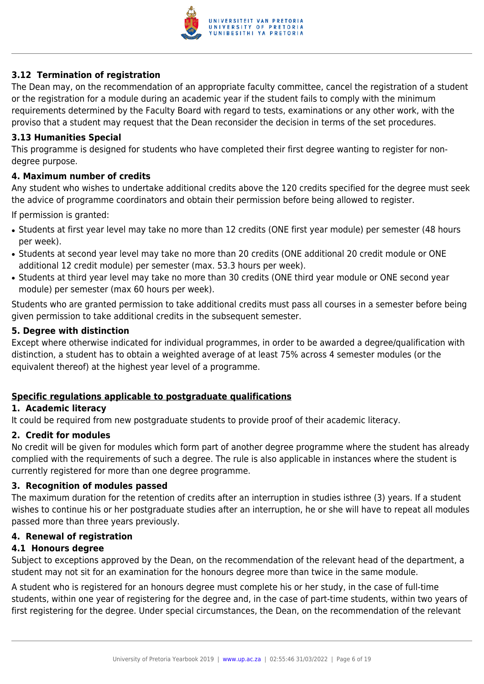

# **3.12 Termination of registration**

The Dean may, on the recommendation of an appropriate faculty committee, cancel the registration of a student or the registration for a module during an academic year if the student fails to comply with the minimum requirements determined by the Faculty Board with regard to tests, examinations or any other work, with the proviso that a student may request that the Dean reconsider the decision in terms of the set procedures.

#### **3.13 Humanities Special**

This programme is designed for students who have completed their first degree wanting to register for nondegree purpose.

#### **4. Maximum number of credits**

Any student who wishes to undertake additional credits above the 120 credits specified for the degree must seek the advice of programme coordinators and obtain their permission before being allowed to register.

If permission is granted:

- Students at first year level may take no more than 12 credits (ONE first year module) per semester (48 hours per week).
- Students at second year level may take no more than 20 credits (ONE additional 20 credit module or ONE additional 12 credit module) per semester (max. 53.3 hours per week).
- Students at third year level may take no more than 30 credits (ONE third year module or ONE second year module) per semester (max 60 hours per week).

Students who are granted permission to take additional credits must pass all courses in a semester before being given permission to take additional credits in the subsequent semester.

#### **5. Degree with distinction**

Except where otherwise indicated for individual programmes, in order to be awarded a degree/qualification with distinction, a student has to obtain a weighted average of at least 75% across 4 semester modules (or the equivalent thereof) at the highest year level of a programme.

#### **Specific regulations applicable to postgraduate qualifications**

#### **1. Academic literacy**

It could be required from new postgraduate students to provide proof of their academic literacy.

#### **2. Credit for modules**

No credit will be given for modules which form part of another degree programme where the student has already complied with the requirements of such a degree. The rule is also applicable in instances where the student is currently registered for more than one degree programme.

#### **3. Recognition of modules passed**

The maximum duration for the retention of credits after an interruption in studies isthree (3) years. If a student wishes to continue his or her postgraduate studies after an interruption, he or she will have to repeat all modules passed more than three years previously.

#### **4. Renewal of registration**

#### **4.1 Honours degree**

Subject to exceptions approved by the Dean, on the recommendation of the relevant head of the department, a student may not sit for an examination for the honours degree more than twice in the same module.

A student who is registered for an honours degree must complete his or her study, in the case of full-time students, within one year of registering for the degree and, in the case of part-time students, within two years of first registering for the degree. Under special circumstances, the Dean, on the recommendation of the relevant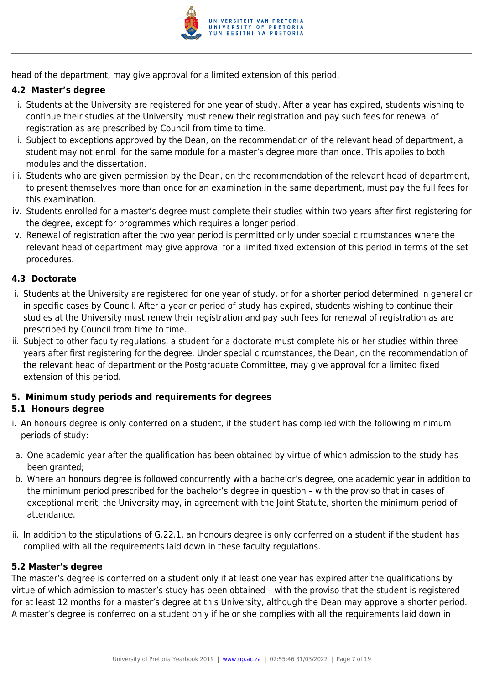

head of the department, may give approval for a limited extension of this period.

# **4.2 Master's degree**

- i. Students at the University are registered for one year of study. After a year has expired, students wishing to continue their studies at the University must renew their registration and pay such fees for renewal of registration as are prescribed by Council from time to time.
- ii. Subject to exceptions approved by the Dean, on the recommendation of the relevant head of department, a student may not enrol for the same module for a master's degree more than once. This applies to both modules and the dissertation.
- iii. Students who are given permission by the Dean, on the recommendation of the relevant head of department, to present themselves more than once for an examination in the same department, must pay the full fees for this examination.
- iv. Students enrolled for a master's degree must complete their studies within two years after first registering for the degree, except for programmes which requires a longer period.
- v. Renewal of registration after the two year period is permitted only under special circumstances where the relevant head of department may give approval for a limited fixed extension of this period in terms of the set procedures.

# **4.3 Doctorate**

- i. Students at the University are registered for one year of study, or for a shorter period determined in general or in specific cases by Council. After a year or period of study has expired, students wishing to continue their studies at the University must renew their registration and pay such fees for renewal of registration as are prescribed by Council from time to time.
- ii. Subject to other faculty regulations, a student for a doctorate must complete his or her studies within three years after first registering for the degree. Under special circumstances, the Dean, on the recommendation of the relevant head of department or the Postgraduate Committee, may give approval for a limited fixed extension of this period.

# **5. Minimum study periods and requirements for degrees**

# **5.1 Honours degree**

- i. An honours degree is only conferred on a student, if the student has complied with the following minimum periods of study:
- a. One academic year after the qualification has been obtained by virtue of which admission to the study has been granted:
- b. Where an honours degree is followed concurrently with a bachelor's degree, one academic year in addition to the minimum period prescribed for the bachelor's degree in question – with the proviso that in cases of exceptional merit, the University may, in agreement with the Joint Statute, shorten the minimum period of attendance.
- ii. In addition to the stipulations of G.22.1, an honours degree is only conferred on a student if the student has complied with all the requirements laid down in these faculty regulations.

# **5.2 Master's degree**

The master's degree is conferred on a student only if at least one year has expired after the qualifications by virtue of which admission to master's study has been obtained – with the proviso that the student is registered for at least 12 months for a master's degree at this University, although the Dean may approve a shorter period. A master's degree is conferred on a student only if he or she complies with all the requirements laid down in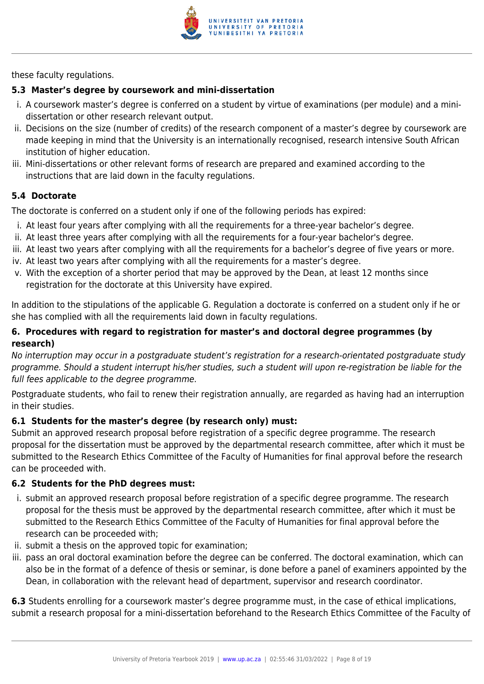

these faculty regulations.

# **5.3 Master's degree by coursework and mini-dissertation**

- i. A coursework master's degree is conferred on a student by virtue of examinations (per module) and a minidissertation or other research relevant output.
- ii. Decisions on the size (number of credits) of the research component of a master's degree by coursework are made keeping in mind that the University is an internationally recognised, research intensive South African institution of higher education.
- iii. Mini-dissertations or other relevant forms of research are prepared and examined according to the instructions that are laid down in the faculty regulations.

# **5.4 Doctorate**

The doctorate is conferred on a student only if one of the following periods has expired:

- i. At least four years after complying with all the requirements for a three-year bachelor's degree.
- ii. At least three years after complying with all the requirements for a four-year bachelor's degree.
- iii. At least two years after complying with all the requirements for a bachelor's degree of five years or more.
- iv. At least two years after complying with all the requirements for a master's degree.
- v. With the exception of a shorter period that may be approved by the Dean, at least 12 months since registration for the doctorate at this University have expired.

In addition to the stipulations of the applicable G. Regulation a doctorate is conferred on a student only if he or she has complied with all the requirements laid down in faculty regulations.

# **6. Procedures with regard to registration for master's and doctoral degree programmes (by research)**

No interruption may occur in a postgraduate student's registration for a research-orientated postgraduate study programme. Should a student interrupt his/her studies, such a student will upon re-registration be liable for the full fees applicable to the degree programme.

Postgraduate students, who fail to renew their registration annually, are regarded as having had an interruption in their studies.

# **6.1 Students for the master's degree (by research only) must:**

Submit an approved research proposal before registration of a specific degree programme. The research proposal for the dissertation must be approved by the departmental research committee, after which it must be submitted to the Research Ethics Committee of the Faculty of Humanities for final approval before the research can be proceeded with.

# **6.2 Students for the PhD degrees must:**

- i. submit an approved research proposal before registration of a specific degree programme. The research proposal for the thesis must be approved by the departmental research committee, after which it must be submitted to the Research Ethics Committee of the Faculty of Humanities for final approval before the research can be proceeded with;
- ii. submit a thesis on the approved topic for examination;
- iii. pass an oral doctoral examination before the degree can be conferred. The doctoral examination, which can also be in the format of a defence of thesis or seminar, is done before a panel of examiners appointed by the Dean, in collaboration with the relevant head of department, supervisor and research coordinator.

**6.3** Students enrolling for a coursework master's degree programme must, in the case of ethical implications, submit a research proposal for a mini-dissertation beforehand to the Research Ethics Committee of the Faculty of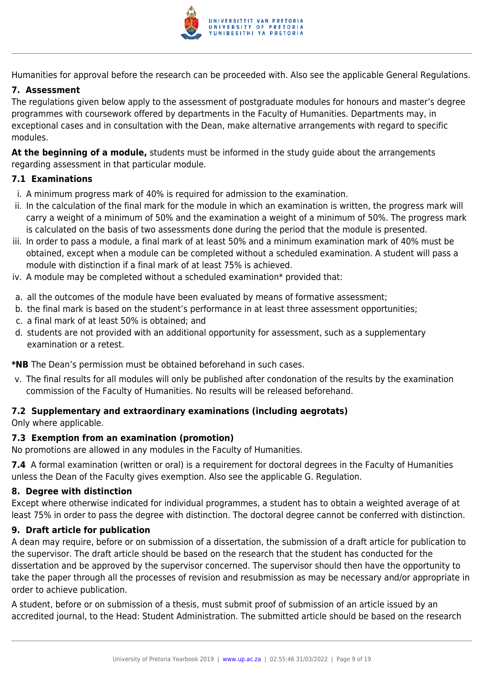

Humanities for approval before the research can be proceeded with. Also see the applicable General Regulations.

# **7. Assessment**

The regulations given below apply to the assessment of postgraduate modules for honours and master's degree programmes with coursework offered by departments in the Faculty of Humanities. Departments may, in exceptional cases and in consultation with the Dean, make alternative arrangements with regard to specific modules.

**At the beginning of a module,** students must be informed in the study guide about the arrangements regarding assessment in that particular module.

# **7.1 Examinations**

- i. A minimum progress mark of 40% is required for admission to the examination.
- ii. In the calculation of the final mark for the module in which an examination is written, the progress mark will carry a weight of a minimum of 50% and the examination a weight of a minimum of 50%. The progress mark is calculated on the basis of two assessments done during the period that the module is presented.
- iii. In order to pass a module, a final mark of at least 50% and a minimum examination mark of 40% must be obtained, except when a module can be completed without a scheduled examination. A student will pass a module with distinction if a final mark of at least 75% is achieved.
- iv. A module may be completed without a scheduled examination\* provided that:
- a. all the outcomes of the module have been evaluated by means of formative assessment;
- b. the final mark is based on the student's performance in at least three assessment opportunities;
- c. a final mark of at least 50% is obtained; and
- d. students are not provided with an additional opportunity for assessment, such as a supplementary examination or a retest.

**\*NB** The Dean's permission must be obtained beforehand in such cases.

v. The final results for all modules will only be published after condonation of the results by the examination commission of the Faculty of Humanities. No results will be released beforehand.

# **7.2 Supplementary and extraordinary examinations (including aegrotats)**

Only where applicable.

#### **7.3 Exemption from an examination (promotion)**

No promotions are allowed in any modules in the Faculty of Humanities.

**7.4** A formal examination (written or oral) is a requirement for doctoral degrees in the Faculty of Humanities unless the Dean of the Faculty gives exemption. Also see the applicable G. Regulation.

#### **8. Degree with distinction**

Except where otherwise indicated for individual programmes, a student has to obtain a weighted average of at least 75% in order to pass the degree with distinction. The doctoral degree cannot be conferred with distinction.

#### **9. Draft article for publication**

A dean may require, before or on submission of a dissertation, the submission of a draft article for publication to the supervisor. The draft article should be based on the research that the student has conducted for the dissertation and be approved by the supervisor concerned. The supervisor should then have the opportunity to take the paper through all the processes of revision and resubmission as may be necessary and/or appropriate in order to achieve publication.

A student, before or on submission of a thesis, must submit proof of submission of an article issued by an accredited journal, to the Head: Student Administration. The submitted article should be based on the research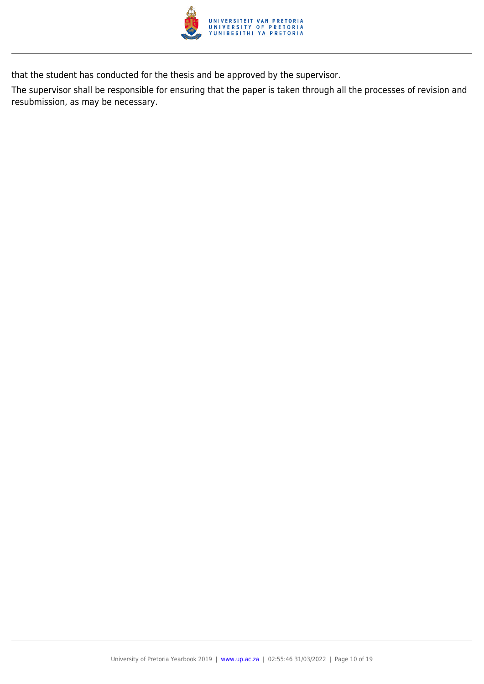

that the student has conducted for the thesis and be approved by the supervisor.

The supervisor shall be responsible for ensuring that the paper is taken through all the processes of revision and resubmission, as may be necessary.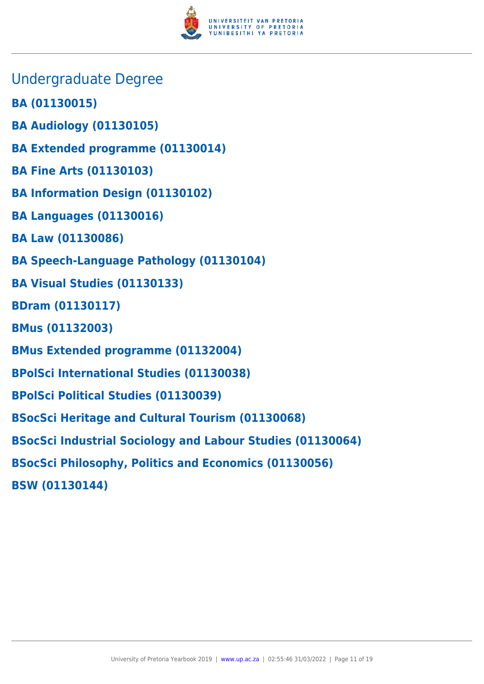

- Undergraduate Degree
- **BA (01130015)**
- **BA Audiology (01130105)**
- **BA Extended programme (01130014)**
- **BA Fine Arts (01130103)**
- **BA Information Design (01130102)**
- **BA Languages (01130016)**
- **BA Law (01130086)**
- **BA Speech-Language Pathology (01130104)**
- **BA Visual Studies (01130133)**
- **BDram (01130117)**
- **BMus (01132003)**
- **BMus Extended programme (01132004)**
- **BPolSci International Studies (01130038)**
- **BPolSci Political Studies (01130039)**
- **BSocSci Heritage and Cultural Tourism (01130068)**
- **BSocSci Industrial Sociology and Labour Studies (01130064)**
- **BSocSci Philosophy, Politics and Economics (01130056)**
- **BSW (01130144)**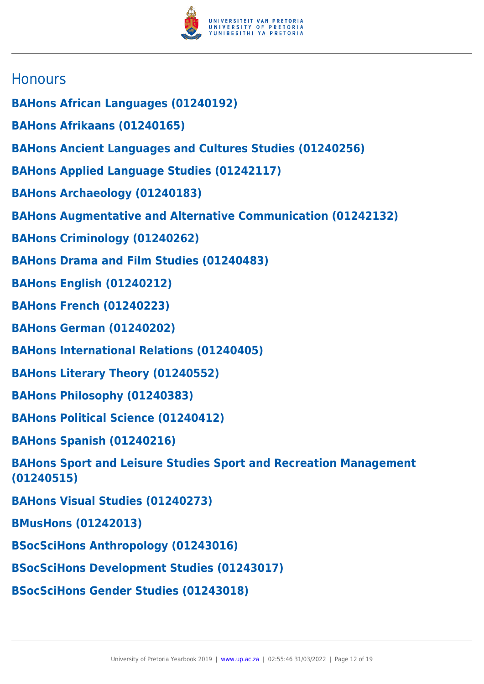

# **Honours**

- **BAHons African Languages (01240192)**
- **BAHons Afrikaans (01240165)**
- **BAHons Ancient Languages and Cultures Studies (01240256)**
- **BAHons Applied Language Studies (01242117)**
- **BAHons Archaeology (01240183)**
- **BAHons Augmentative and Alternative Communication (01242132)**
- **BAHons Criminology (01240262)**
- **BAHons Drama and Film Studies (01240483)**
- **BAHons English (01240212)**
- **BAHons French (01240223)**
- **BAHons German (01240202)**
- **BAHons International Relations (01240405)**
- **BAHons Literary Theory (01240552)**
- **BAHons Philosophy (01240383)**
- **BAHons Political Science (01240412)**
- **BAHons Spanish (01240216)**
- **BAHons Sport and Leisure Studies Sport and Recreation Management (01240515)**
- **BAHons Visual Studies (01240273)**
- **BMusHons (01242013)**
- **BSocSciHons Anthropology (01243016)**
- **BSocSciHons Development Studies (01243017)**
- **BSocSciHons Gender Studies (01243018)**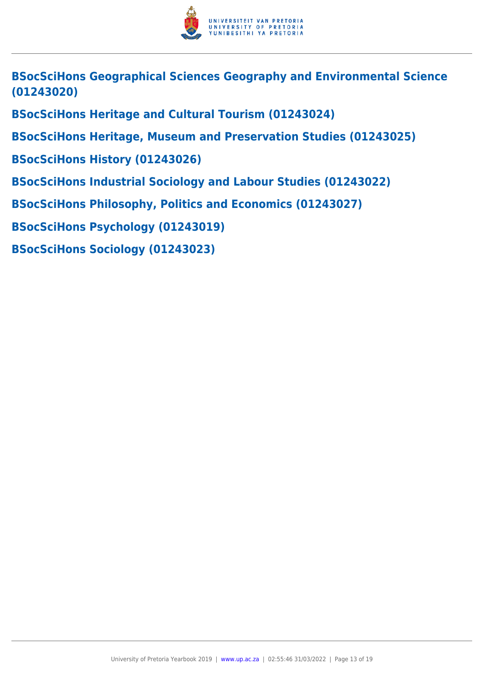

**BSocSciHons Geographical Sciences Geography and Environmental Science (01243020)**

**BSocSciHons Heritage and Cultural Tourism (01243024)**

**BSocSciHons Heritage, Museum and Preservation Studies (01243025)**

**BSocSciHons History (01243026)**

**BSocSciHons Industrial Sociology and Labour Studies (01243022)**

**BSocSciHons Philosophy, Politics and Economics (01243027)**

**BSocSciHons Psychology (01243019)**

**BSocSciHons Sociology (01243023)**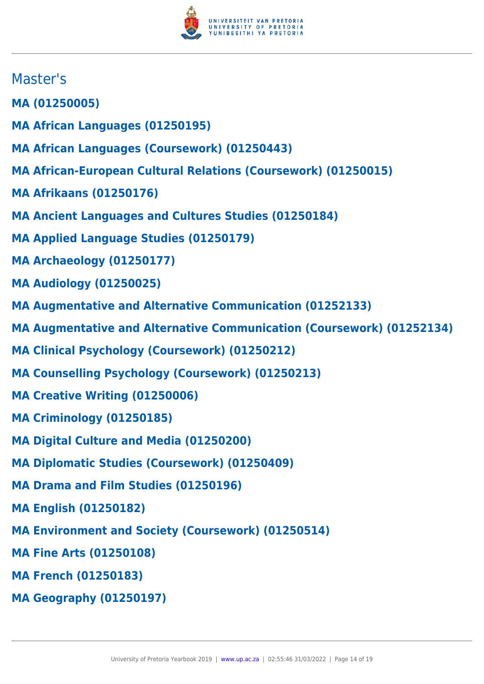

# Master's

- **MA (01250005)**
- **MA African Languages (01250195)**
- **MA African Languages (Coursework) (01250443)**
- **MA African-European Cultural Relations (Coursework) (01250015)**
- **MA Afrikaans (01250176)**
- **MA Ancient Languages and Cultures Studies (01250184)**
- **MA Applied Language Studies (01250179)**
- **MA Archaeology (01250177)**
- **MA Audiology (01250025)**
- **MA Augmentative and Alternative Communication (01252133)**
- **MA Augmentative and Alternative Communication (Coursework) (01252134)**
- **MA Clinical Psychology (Coursework) (01250212)**
- **MA Counselling Psychology (Coursework) (01250213)**
- **MA Creative Writing (01250006)**
- **MA Criminology (01250185)**
- **MA Digital Culture and Media (01250200)**
- **MA Diplomatic Studies (Coursework) (01250409)**
- **MA Drama and Film Studies (01250196)**
- **MA English (01250182)**
- **MA Environment and Society (Coursework) (01250514)**
- **MA Fine Arts (01250108)**
- **MA French (01250183)**
- **MA Geography (01250197)**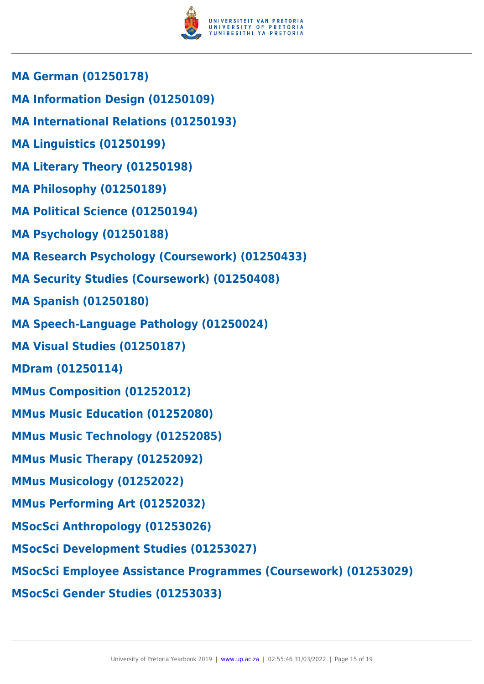

- **MA German (01250178)**
- **MA Information Design (01250109)**
- **MA International Relations (01250193)**
- **MA Linguistics (01250199)**
- **MA Literary Theory (01250198)**
- **MA Philosophy (01250189)**
- **MA Political Science (01250194)**
- **MA Psychology (01250188)**
- **MA Research Psychology (Coursework) (01250433)**
- **MA Security Studies (Coursework) (01250408)**
- **MA Spanish (01250180)**
- **MA Speech-Language Pathology (01250024)**
- **MA Visual Studies (01250187)**
- **MDram (01250114)**
- **MMus Composition (01252012)**
- **MMus Music Education (01252080)**
- **MMus Music Technology (01252085)**
- **MMus Music Therapy (01252092)**
- **MMus Musicology (01252022)**
- **MMus Performing Art (01252032)**
- **MSocSci Anthropology (01253026)**
- **MSocSci Development Studies (01253027)**
- **MSocSci Employee Assistance Programmes (Coursework) (01253029)**
- **MSocSci Gender Studies (01253033)**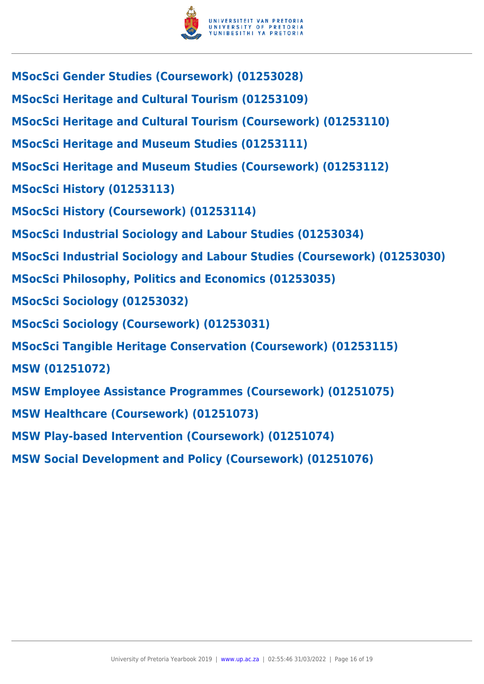

| MSocSci Gender Studies (Coursework) (01253028)                          |
|-------------------------------------------------------------------------|
| <b>MSocSci Heritage and Cultural Tourism (01253109)</b>                 |
| <b>MSocSci Heritage and Cultural Tourism (Coursework) (01253110)</b>    |
| <b>MSocSci Heritage and Museum Studies (01253111)</b>                   |
| <b>MSocSci Heritage and Museum Studies (Coursework) (01253112)</b>      |
| MSocSci History (01253113)                                              |
| MSocSci History (Coursework) (01253114)                                 |
| <b>MSocSci Industrial Sociology and Labour Studies (01253034)</b>       |
| MSocSci Industrial Sociology and Labour Studies (Coursework) (01253030) |
| <b>MSocSci Philosophy, Politics and Economics (01253035)</b>            |
| <b>MSocSci Sociology (01253032)</b>                                     |
| <b>MSocSci Sociology (Coursework) (01253031)</b>                        |
| <b>MSocSci Tangible Heritage Conservation (Coursework) (01253115)</b>   |
| <b>MSW (01251072)</b>                                                   |
| <b>MSW Employee Assistance Programmes (Coursework) (01251075)</b>       |
| <b>MSW Healthcare (Coursework) (01251073)</b>                           |
| <b>MSW Play-based Intervention (Coursework) (01251074)</b>              |
| <b>MSW Social Development and Policy (Coursework) (01251076)</b>        |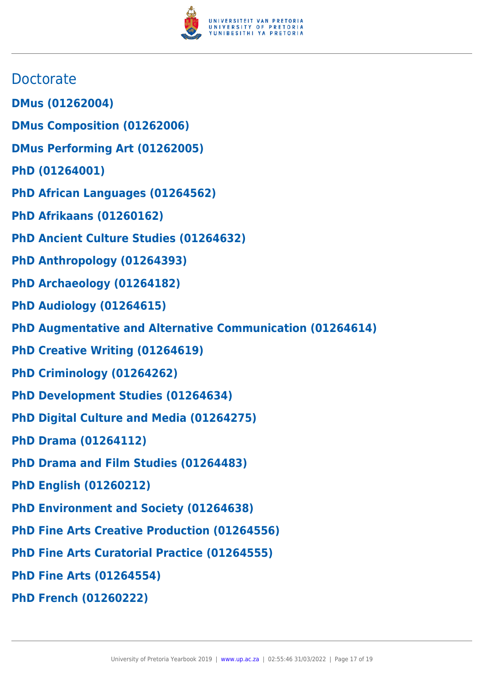

# **Doctorate**

- **DMus (01262004)**
- **DMus Composition (01262006)**
- **DMus Performing Art (01262005)**
- **PhD (01264001)**
- **PhD African Languages (01264562)**
- **PhD Afrikaans (01260162)**
- **PhD Ancient Culture Studies (01264632)**
- **PhD Anthropology (01264393)**
- **PhD Archaeology (01264182)**
- **PhD Audiology (01264615)**
- **PhD Augmentative and Alternative Communication (01264614)**
- **PhD Creative Writing (01264619)**
- **PhD Criminology (01264262)**
- **PhD Development Studies (01264634)**
- **PhD Digital Culture and Media (01264275)**
- **PhD Drama (01264112)**
- **PhD Drama and Film Studies (01264483)**
- **PhD English (01260212)**
- **PhD Environment and Society (01264638)**
- **PhD Fine Arts Creative Production (01264556)**
- **PhD Fine Arts Curatorial Practice (01264555)**
- **PhD Fine Arts (01264554)**
- **PhD French (01260222)**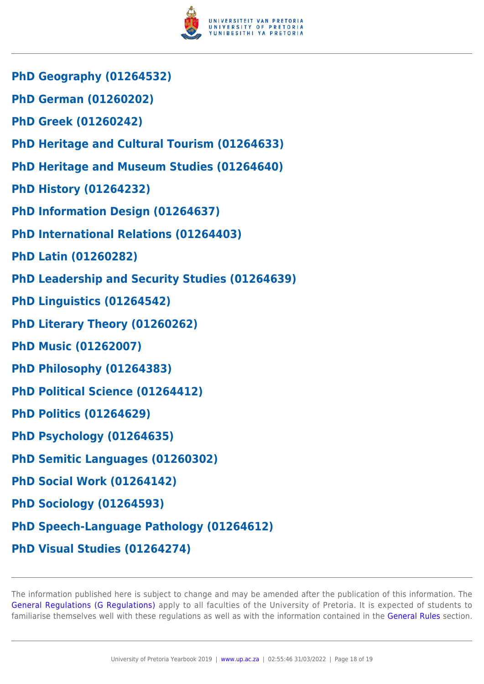

- **PhD Geography (01264532)**
- **PhD German (01260202)**
- **PhD Greek (01260242)**
- **PhD Heritage and Cultural Tourism (01264633)**
- **PhD Heritage and Museum Studies (01264640)**
- **PhD History (01264232)**
- **PhD Information Design (01264637)**
- **PhD International Relations (01264403)**
- **PhD Latin (01260282)**
- **PhD Leadership and Security Studies (01264639)**
- **PhD Linguistics (01264542)**
- **PhD Literary Theory (01260262)**
- **PhD Music (01262007)**
- **PhD Philosophy (01264383)**
- **PhD Political Science (01264412)**
- **PhD Politics (01264629)**
- **PhD Psychology (01264635)**
- **PhD Semitic Languages (01260302)**
- **PhD Social Work (01264142)**
- **PhD Sociology (01264593)**
- **PhD Speech-Language Pathology (01264612)**
- **PhD Visual Studies (01264274)**

The information published here is subject to change and may be amended after the publication of this information. The [General Regulations \(G Regulations\)](https://www.up.ac.za/yearbooks/2019/rules/view/REG) apply to all faculties of the University of Pretoria. It is expected of students to familiarise themselves well with these regulations as well as with the information contained in the [General Rules](https://www.up.ac.za/yearbooks/2019/rules/view/RUL) section.